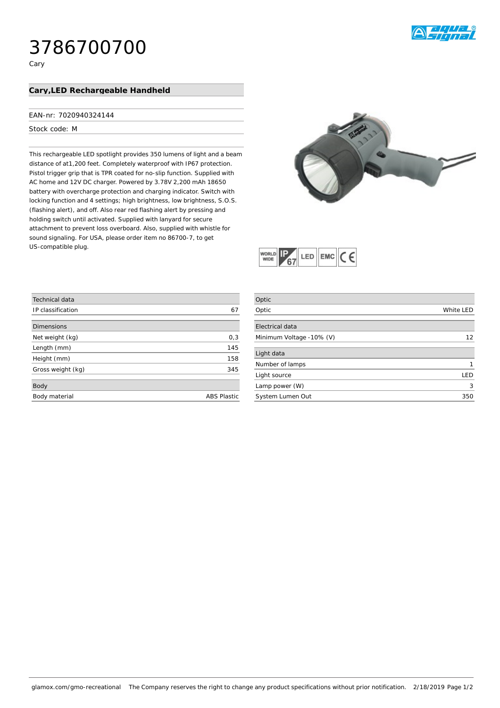# 3786700700

# Cary, LED Rechargeable Handheld

### EAN-nr: 7020940324144

## Stock code: M

This rechargeable LED spotlight provides 350 lumens of light and a beam distance of at1,200 feet. Completely waterproof with IP67 protection. Pistol trigger grip that is TPR coated for no-slip function. Supplied with AC home and 12V DC charger. Powered by 3.78V 2,200 mAh 18650 battery with overcharge protection and charging indicator. Switch with locking function and 4 settings; high brightness, low brightness, S.O.S. (flashing alert), and off. Also rear red flashing alert by pressing and holding switch until activated. Supplied with lanyard for secure attachment to prevent loss overboard. Also, supplied with whistle for sound signaling. For USA, please order item no 86700-7, to get US-compatible plug.





| Technical data    |                    |
|-------------------|--------------------|
| IP classification | 67                 |
|                   |                    |
| <b>Dimensions</b> |                    |
| Net weight (kg)   | 0,3                |
| Length (mm)       | 145                |
| Height (mm)       | 158                |
| Gross weight (kg) | 345                |
|                   |                    |
| Body              |                    |
| Body material     | <b>ABS Plastic</b> |
|                   |                    |

| Optic                    |           |
|--------------------------|-----------|
| Optic                    | White LED |
|                          |           |
| <b>Electrical data</b>   |           |
| Minimum Voltage -10% (V) | 12        |
|                          |           |
| Light data               |           |
| Number of lamps          |           |
| Light source             | LED       |
| Lamp power (W)           | 3         |
| System Lumen Out         | 350       |
|                          |           |